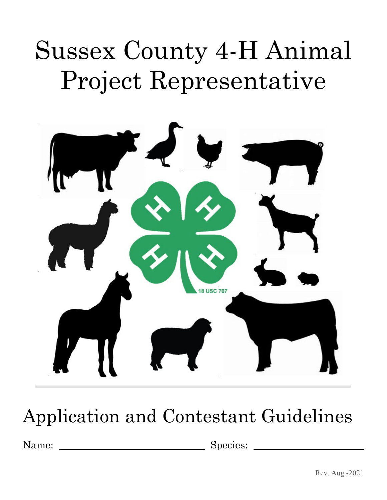# Sussex County 4-H Animal Project Representative



# Application and Contestant Guidelines

Name: Species: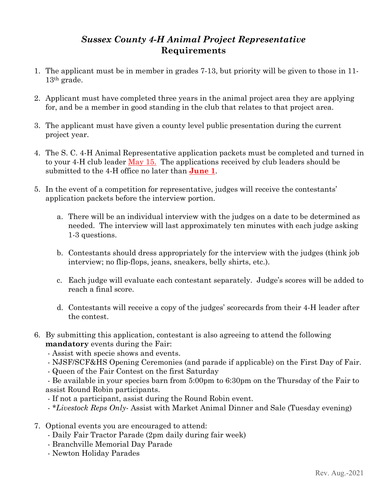### *Sussex County 4-H Animal Project Representative* **Requirements**

- 1. The applicant must be in member in grades 7-13, but priority will be given to those in 11- 13th grade.
- 2. Applicant must have completed three years in the animal project area they are applying for, and be a member in good standing in the club that relates to that project area.
- 3. The applicant must have given a county level public presentation during the current project year.
- 4. The S. C. 4-H Animal Representative application packets must be completed and turned in to your 4-H club leader May 15. The applications received by club leaders should be submitted to the 4-H office no later than **June 1**.
- 5. In the event of a competition for representative, judges will receive the contestants' application packets before the interview portion.
	- a. There will be an individual interview with the judges on a date to be determined as needed. The interview will last approximately ten minutes with each judge asking 1-3 questions.
	- b. Contestants should dress appropriately for the interview with the judges (think job interview; no flip-flops, jeans, sneakers, belly shirts, etc.).
	- c. Each judge will evaluate each contestant separately. Judge's scores will be added to reach a final score.
	- d. Contestants will receive a copy of the judges' scorecards from their 4-H leader after the contest.
- 6. By submitting this application, contestant is also agreeing to attend the following **mandatory** events during the Fair:
	- Assist with specie shows and events.
	- NJSF/SCF&HS Opening Ceremonies (and parade if applicable) on the First Day of Fair.
	- Queen of the Fair Contest on the first Saturday

- Be available in your species barn from 5:00pm to 6:30pm on the Thursday of the Fair to assist Round Robin participants.

- If not a participant, assist during the Round Robin event.
- *\*Livestock Reps Only* Assist with Market Animal Dinner and Sale (Tuesday evening)
- 7. Optional events you are encouraged to attend:
	- Daily Fair Tractor Parade (2pm daily during fair week)
	- Branchville Memorial Day Parade
	- Newton Holiday Parades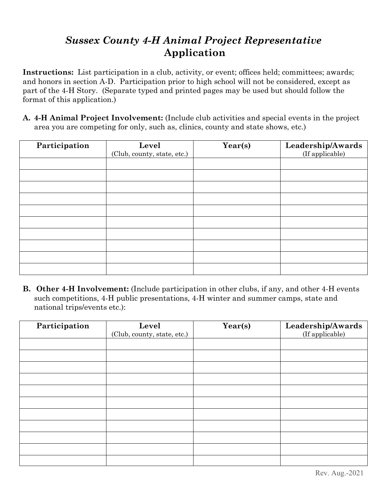# *Sussex County 4-H Animal Project Representative* **Application**

**Instructions:** List participation in a club, activity, or event; offices held; committees; awards; and honors in section A-D. Participation prior to high school will not be considered, except as part of the 4-H Story. (Separate typed and printed pages may be used but should follow the format of this application.)

**A. 4-H Animal Project Involvement:** (Include club activities and special events in the project area you are competing for only, such as, clinics, county and state shows, etc.)

| Participation | Level                       | Year(s) | Leadership/Awards |
|---------------|-----------------------------|---------|-------------------|
|               | (Club, county, state, etc.) |         | (If applicable)   |
|               |                             |         |                   |
|               |                             |         |                   |
|               |                             |         |                   |
|               |                             |         |                   |
|               |                             |         |                   |
|               |                             |         |                   |
|               |                             |         |                   |
|               |                             |         |                   |
|               |                             |         |                   |
|               |                             |         |                   |

**B. Other 4-H Involvement:** (Include participation in other clubs, if any, and other 4-H events such competitions, 4-H public presentations, 4-H winter and summer camps, state and national trips/events etc.):

| Participation | Level                       | Year(s) | Leadership/Awards |
|---------------|-----------------------------|---------|-------------------|
|               | (Club, county, state, etc.) |         | (If applicable)   |
|               |                             |         |                   |
|               |                             |         |                   |
|               |                             |         |                   |
|               |                             |         |                   |
|               |                             |         |                   |
|               |                             |         |                   |
|               |                             |         |                   |
|               |                             |         |                   |
|               |                             |         |                   |
|               |                             |         |                   |
|               |                             |         |                   |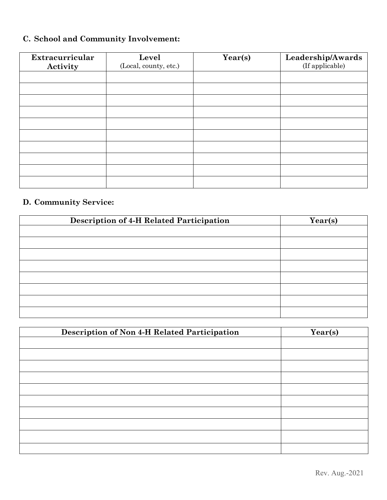## **C. School and Community Involvement:**

| Extracurricular<br>Activity | Level<br>(Local, county, etc.) | Year(s) | Leadership/Awards<br>(If applicable) |
|-----------------------------|--------------------------------|---------|--------------------------------------|
|                             |                                |         |                                      |
|                             |                                |         |                                      |
|                             |                                |         |                                      |
|                             |                                |         |                                      |
|                             |                                |         |                                      |
|                             |                                |         |                                      |
|                             |                                |         |                                      |
|                             |                                |         |                                      |
|                             |                                |         |                                      |
|                             |                                |         |                                      |

#### **D. Community Service:**

| <b>Description of 4-H Related Participation</b> | Year(s) |
|-------------------------------------------------|---------|
|                                                 |         |
|                                                 |         |
|                                                 |         |
|                                                 |         |
|                                                 |         |
|                                                 |         |
|                                                 |         |
|                                                 |         |

| Description of Non 4-H Related Participation | Year(s) |
|----------------------------------------------|---------|
|                                              |         |
|                                              |         |
|                                              |         |
|                                              |         |
|                                              |         |
|                                              |         |
|                                              |         |
|                                              |         |
|                                              |         |
|                                              |         |
|                                              |         |